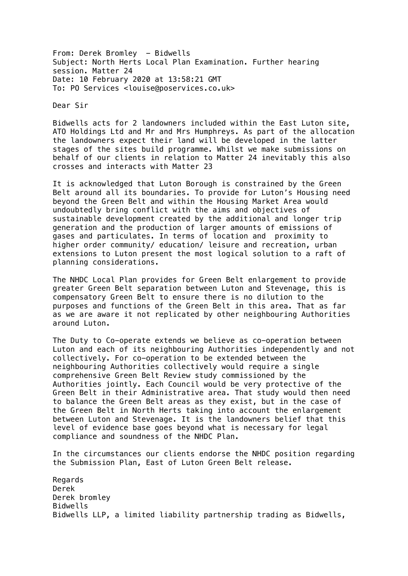From: Derek Bromley - Bidwells Subject: North Herts Local Plan Examination. Further hearing session. Matter 24 Date: 10 February 2020 at 13:58:21 GMT To: PO Services <louise@poservices.co.uk>

Dear Sir

Bidwells acts for 2 landowners included within the East Luton site, ATO Holdings Ltd and Mr and Mrs Humphreys. As part of the allocation the landowners expect their land will be developed in the latter stages of the sites build programme. Whilst we make submissions on behalf of our clients in relation to Matter 24 inevitably this also crosses and interacts with Matter 23

It is acknowledged that Luton Borough is constrained by the Green Belt around all its boundaries. To provide for Luton's Housing need beyond the Green Belt and within the Housing Market Area would undoubtedly bring conflict with the aims and objectives of sustainable development created by the additional and longer trip generation and the production of larger amounts of emissions of gases and particulates. In terms of location and proximity to higher order community/ education/ leisure and recreation, urban extensions to Luton present the most logical solution to a raft of planning considerations.

The NHDC Local Plan provides for Green Belt enlargement to provide greater Green Belt separation between Luton and Stevenage, this is compensatory Green Belt to ensure there is no dilution to the purposes and functions of the Green Belt in this area. That as far as we are aware it not replicated by other neighbouring Authorities around Luton.

The Duty to Co-operate extends we believe as co-operation between Luton and each of its neighbouring Authorities independently and not collectively. For co-operation to be extended between the neighbouring Authorities collectively would require a single comprehensive Green Belt Review study commissioned by the Authorities jointly. Each Council would be very protective of the Green Belt in their Administrative area. That study would then need to balance the Green Belt areas as they exist, but in the case of the Green Belt in North Herts taking into account the enlargement between Luton and Stevenage. It is the landowners belief that this level of evidence base goes beyond what is necessary for legal compliance and soundness of the NHDC Plan.

In the circumstances our clients endorse the NHDC position regarding the Submission Plan, East of Luton Green Belt release.

Regards Derek Derek bromley Bidwells Bidwells LLP, a limited liability partnership trading as Bidwells,